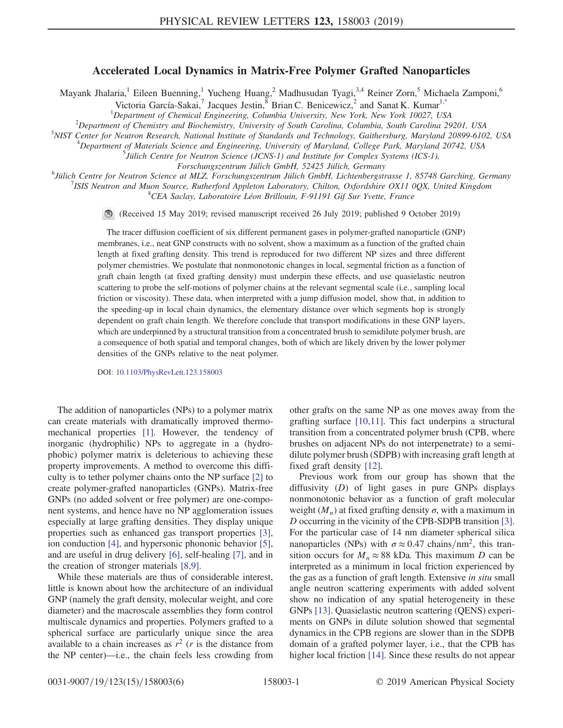## Accelerated Local Dynamics in Matrix-Free Polymer Grafted Nanoparticles

<span id="page-0-0"></span>Mayank Jhalaria,<sup>1</sup> Eileen Buenning,<sup>1</sup> Yucheng Huang,<sup>2</sup> Madhusudan Tyagi,<sup>3,4</sup> Reiner Zorn,<sup>5</sup> Michaela Zamponi,<sup>6</sup>

Victoria García-Sakai,<sup>7</sup> Jacques Jestin, <sup>8</sup> Brian C. Benicewicz, <sup>2</sup> and Sanat K. Kumar<sup>1[,\\*](#page-4-0)</sup>

<sup>1</sup>Department of Chemical Engineering, Columbia University, New York, New York 10027, USA<br><sup>2</sup>Department of Chemictry and Biochamistry, University of South Carolina, Columbia, South Carolina 20

 $^{2}$ Department of Chemistry and Biochemistry, University of South Carolina, Columbia, South Carolina 29201, USA

<sup>3</sup>NIST Center for Neutron Research, National Institute of Standards and Technology, Gaithersburg, Maryland 20899-6102, USA

 $^4$ Department of Materials Science and Engineering, University of Maryland, College Park, Maryland 20742, USA

 $<sup>5</sup>$  Jülich Centre for Neutron Science (JCNS-1) and Institute for Complex Systems (ICS-1),</sup>

Forschungszentrum Jülich GmbH, 52425 Jülich, Germany<br><sup>6</sup> Jülich Centre for Neutron Seignes at MIZ, Forschungszentrum Jülich CmbH, Liebtenbergst

Jülich Centre for Neutron Science at MLZ, Forschungszentrum Jülich GmbH, Lichtenbergstrasse 1, 85748 Garching, Germany <sup>7</sup>

ISIS Neutron and Muon Source, Rutherford Appleton Laboratory, Chilton, Oxfordshire OX11 0QX, United Kingdom

 ${}^{8}$ CEA Saclay, Laboratoire Léon Brillouin, F-91191 Gif Sur Yvette, France

 $\bigcirc$ (Received 15 May 2019; revised manuscript received 26 July 2019; published 9 October 2019)

The tracer diffusion coefficient of six different permanent gases in polymer-grafted nanoparticle (GNP) membranes, i.e., neat GNP constructs with no solvent, show a maximum as a function of the grafted chain length at fixed grafting density. This trend is reproduced for two different NP sizes and three different polymer chemistries. We postulate that nonmonotonic changes in local, segmental friction as a function of graft chain length (at fixed grafting density) must underpin these effects, and use quasielastic neutron scattering to probe the self-motions of polymer chains at the relevant segmental scale (i.e., sampling local friction or viscosity). These data, when interpreted with a jump diffusion model, show that, in addition to the speeding-up in local chain dynamics, the elementary distance over which segments hop is strongly dependent on graft chain length. We therefore conclude that transport modifications in these GNP layers, which are underpinned by a structural transition from a concentrated brush to semidilute polymer brush, are a consequence of both spatial and temporal changes, both of which are likely driven by the lower polymer densities of the GNPs relative to the neat polymer.

DOI: [10.1103/PhysRevLett.123.158003](https://doi.org/10.1103/PhysRevLett.123.158003)

The addition of nanoparticles (NPs) to a polymer matrix can create materials with dramatically improved thermomechanical properties [\[1\].](#page-4-1) However, the tendency of inorganic (hydrophilic) NPs to aggregate in a (hydrophobic) polymer matrix is deleterious to achieving these property improvements. A method to overcome this difficulty is to tether polymer chains onto the NP surface [\[2\]](#page-4-2) to create polymer-grafted nanoparticles (GNPs). Matrix-free GNPs (no added solvent or free polymer) are one-component systems, and hence have no NP agglomeration issues especially at large grafting densities. They display unique properties such as enhanced gas transport properties [\[3\]](#page-4-3), ion conduction [\[4\]](#page-4-4), and hypersonic phononic behavior [\[5\]](#page-4-5), and are useful in drug delivery [\[6\],](#page-4-6) self-healing [\[7\]](#page-4-7), and in the creation of stronger materials [\[8,9\].](#page-4-8)

While these materials are thus of considerable interest, little is known about how the architecture of an individual GNP (namely the graft density, molecular weight, and core diameter) and the macroscale assemblies they form control multiscale dynamics and properties. Polymers grafted to a spherical surface are particularly unique since the area available to a chain increases as  $r^2$  (*r* is the distance from the NP center)—i.e., the chain feels less crowding from other grafts on the same NP as one moves away from the grafting surface [\[10,11\].](#page-4-9) This fact underpins a structural transition from a concentrated polymer brush (CPB, where brushes on adjacent NPs do not interpenetrate) to a semidilute polymer brush (SDPB) with increasing graft length at fixed graft density [\[12\].](#page-4-10)

Previous work from our group has shown that the diffusivity  $(D)$  of light gases in pure GNPs displays nonmonotonic behavior as a function of graft molecular weight  $(M_n)$  at fixed grafting density  $\sigma$ , with a maximum in D occurring in the vicinity of the CPB-SDPB transition [\[3\]](#page-4-3). For the particular case of 14 nm diameter spherical silica nanoparticles (NPs) with  $\sigma \approx 0.47$  chains/nm<sup>2</sup>, this transition occurs for  $M_n \approx 88$  kDa. This maximum D can be interpreted as a minimum in local friction experienced by the gas as a function of graft length. Extensive in situ small angle neutron scattering experiments with added solvent show no indication of any spatial heterogeneity in these GNPs [\[13\].](#page-4-11) Quasielastic neutron scattering (QENS) experiments on GNPs in dilute solution showed that segmental dynamics in the CPB regions are slower than in the SDPB domain of a grafted polymer layer, i.e., that the CPB has higher local friction [\[14\].](#page-4-12) Since these results do not appear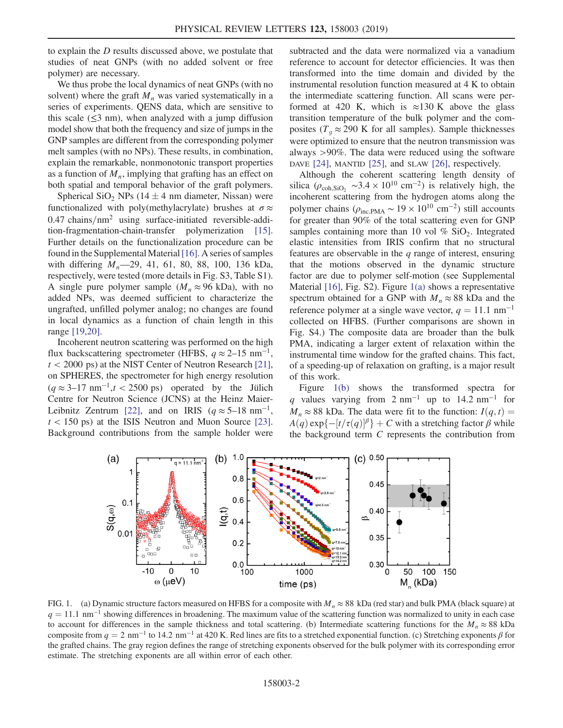to explain the D results discussed above, we postulate that studies of neat GNPs (with no added solvent or free polymer) are necessary.

We thus probe the local dynamics of neat GNPs (with no solvent) where the graft  $M_n$  was varied systematically in a series of experiments. QENS data, which are sensitive to this scale  $(\leq 3$  nm), when analyzed with a jump diffusion model show that both the frequency and size of jumps in the GNP samples are different from the corresponding polymer melt samples (with no NPs). These results, in combination, explain the remarkable, nonmonotonic transport properties as a function of  $M_n$ , implying that grafting has an effect on both spatial and temporal behavior of the graft polymers.

Spherical SiO<sub>2</sub> NPs (14  $\pm$  4 nm diameter, Nissan) were functionalized with poly(methylacrylate) brushes at  $\sigma \approx$  $0.47 \text{ chains}/\text{nm}^2$  using surface-initiated reversible-addition-fragmentation-chain-transfer polymerization [\[15\]](#page-4-13). Further details on the functionalization procedure can be found in the Supplemental Material[\[16\].](#page-4-14) A series of samples with differing  $M_n$ —29, 41, 61, 80, 88, 100, 136 kDa, respectively, were tested (more details in Fig. S3, Table S1). A single pure polymer sample ( $M_n \approx 96$  kDa), with no added NPs, was deemed sufficient to characterize the ungrafted, unfilled polymer analog; no changes are found in local dynamics as a function of chain length in this range [\[19,20\].](#page-4-15)

Incoherent neutron scattering was performed on the high flux backscattering spectrometer (HFBS,  $q \approx 2{\text -}15$  nm<sup>-1</sup>,  $t < 2000$  ps) at the NIST Center of Neutron Research [\[21\]](#page-4-16), on SPHERES, the spectrometer for high energy resolution  $(q \approx 3-17 \text{ nm}^{-1}, t < 2500 \text{ ps})$  operated by the Jülich Centre for Neutron Science (JCNS) at the Heinz Maier-Leibnitz Zentrum [\[22\],](#page-4-17) and on IRIS ( $q \approx 5-18$  nm<sup>-1</sup>,  $t < 150$  ps) at the ISIS Neutron and Muon Source [\[23\]](#page-4-18). Background contributions from the sample holder were subtracted and the data were normalized via a vanadium reference to account for detector efficiencies. It was then transformed into the time domain and divided by the instrumental resolution function measured at 4 K to obtain the intermediate scattering function. All scans were performed at 420 K, which is  $\approx$ 130 K above the glass transition temperature of the bulk polymer and the composites ( $T_q \approx 290$  K for all samples). Sample thicknesses were optimized to ensure that the neutron transmission was always >90%. The data were reduced using the software DAVE [\[24\],](#page-4-19) MANTID [\[25\]](#page-4-20), and SLAW [\[26\]](#page-4-21), respectively.

Although the coherent scattering length density of silica ( $\rho_{coh,SiO_2} \sim 3.4 \times 10^{10}$  cm<sup>-2</sup>) is relatively high, the incoherent scattering from the hydrogen atoms along the polymer chains ( $\rho_{\text{inc,PMA}} \sim 19 \times 10^{10} \text{ cm}^{-2}$ ) still accounts for greater than 90% of the total scattering even for GNP samples containing more than 10 vol  $\%$  SiO<sub>2</sub>. Integrated elastic intensities from IRIS confirm that no structural features are observable in the  $q$  range of interest, ensuring that the motions observed in the dynamic structure factor are due to polymer self-motion (see Supplemental Material [\[16\]](#page-4-14), Fig. S2). Figure [1\(a\)](#page-1-0) shows a representative spectrum obtained for a GNP with  $M_n \approx 88$  kDa and the reference polymer at a single wave vector,  $q = 11.1$  nm<sup>-1</sup> collected on HFBS. (Further comparisons are shown in Fig. S4.) The composite data are broader than the bulk PMA, indicating a larger extent of relaxation within the instrumental time window for the grafted chains. This fact, of a speeding-up of relaxation on grafting, is a major result of this work.

Figure [1\(b\)](#page-1-0) shows the transformed spectra for q values varying from 2 nm<sup>-1</sup> up to 14.2 nm<sup>-1</sup> for  $M_n \approx 88$  kDa. The data were fit to the function:  $I(q, t) =$  $A(q)$  exp{ $-[t/\tau(q)]^{\beta}$ } + C with a stretching factor  $\beta$  while the background term C represents the contribution from

<span id="page-1-0"></span>

FIG. 1. (a) Dynamic structure factors measured on HFBS for a composite with  $M_n \approx 88$  kDa (red star) and bulk PMA (black square) at  $q = 11.1 \text{ nm}^{-1}$  showing differences in broadening. The maximum value of the scattering function was normalized to unity in each case to account for differences in the sample thickness and total scattering. (b) Intermediate scattering functions for the  $M_n \approx 88$  kDa composite from  $q = 2$  nm<sup>-1</sup> to 14.2 nm<sup>-1</sup> at 420 K. Red lines are fits to a stretched exponential function. (c) Stretching exponents  $\beta$  for the grafted chains. The gray region defines the range of stretching exponents observed for the bulk polymer with its corresponding error estimate. The stretching exponents are all within error of each other.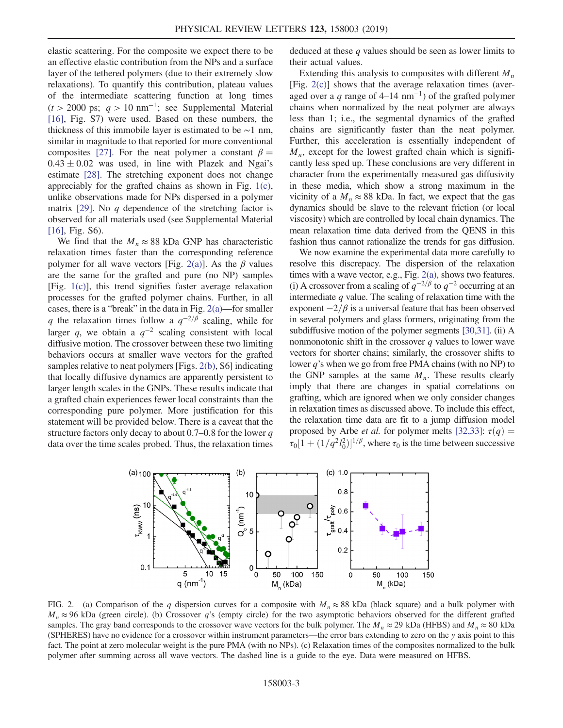elastic scattering. For the composite we expect there to be an effective elastic contribution from the NPs and a surface layer of the tethered polymers (due to their extremely slow relaxations). To quantify this contribution, plateau values of the intermediate scattering function at long times  $(t > 2000 \text{ ps}; q > 10 \text{ nm}^{-1}; \text{ see Supplemental Material}$ [\[16\]](#page-4-14), Fig. S7) were used. Based on these numbers, the thickness of this immobile layer is estimated to be ∼1 nm, similar in magnitude to that reported for more conventional composites [\[27\]](#page-4-22). For the neat polymer a constant  $\beta =$  $0.43 \pm 0.02$  was used, in line with Plazek and Ngai's estimate [\[28\].](#page-4-23) The stretching exponent does not change appreciably for the grafted chains as shown in Fig. [1\(c\)](#page-1-0), unlike observations made for NPs dispersed in a polymer matrix [\[29\]](#page-4-24). No q dependence of the stretching factor is observed for all materials used (see Supplemental Material [\[16\]](#page-4-14), Fig. S6).

We find that the  $M_n \approx 88$  kDa GNP has characteristic relaxation times faster than the corresponding reference polymer for all wave vectors [Fig. [2\(a\)\]](#page-2-0). As the  $\beta$  values are the same for the grafted and pure (no NP) samples [Fig. [1\(c\)\]](#page-1-0), this trend signifies faster average relaxation processes for the grafted polymer chains. Further, in all cases, there is a "break" in the data in Fig. [2\(a\)](#page-2-0)—for smaller q the relaxation times follow a  $q^{-2/\beta}$  scaling, while for larger q, we obtain a  $q^{-2}$  scaling consistent with local diffusive motion. The crossover between these two limiting behaviors occurs at smaller wave vectors for the grafted samples relative to neat polymers [Figs. [2\(b\)](#page-2-0), S6] indicating that locally diffusive dynamics are apparently persistent to larger length scales in the GNPs. These results indicate that a grafted chain experiences fewer local constraints than the corresponding pure polymer. More justification for this statement will be provided below. There is a caveat that the structure factors only decay to about  $0.7-0.8$  for the lower q data over the time scales probed. Thus, the relaxation times deduced at these q values should be seen as lower limits to their actual values.

Extending this analysis to composites with different  $M_n$ [Fig. [2\(c\)](#page-2-0)] shows that the average relaxation times (averaged over a q range of  $4-14$  nm<sup>-1</sup>) of the grafted polymer chains when normalized by the neat polymer are always less than 1; i.e., the segmental dynamics of the grafted chains are significantly faster than the neat polymer. Further, this acceleration is essentially independent of  $M_n$ , except for the lowest grafted chain which is significantly less sped up. These conclusions are very different in character from the experimentally measured gas diffusivity in these media, which show a strong maximum in the vicinity of a  $M_n \approx 88$  kDa. In fact, we expect that the gas dynamics should be slave to the relevant friction (or local viscosity) which are controlled by local chain dynamics. The mean relaxation time data derived from the QENS in this fashion thus cannot rationalize the trends for gas diffusion.

We now examine the experimental data more carefully to resolve this discrepacy. The dispersion of the relaxation times with a wave vector, e.g., Fig. [2\(a\),](#page-2-0) shows two features. (i) A crossover from a scaling of  $q^{-2/\beta}$  to  $q^{-2}$  occurring at an intermediate  $q$  value. The scaling of relaxation time with the exponent  $-2/\beta$  is a universal feature that has been observed in several polymers and glass formers, originating from the subdiffusive motion of the polymer segments [\[30,31\]](#page-4-25). (ii) A nonmonotonic shift in the crossover  $q$  values to lower wave vectors for shorter chains; similarly, the crossover shifts to lower  $q$ 's when we go from free PMA chains (with no NP) to the GNP samples at the same  $M_n$ . These results clearly imply that there are changes in spatial correlations on grafting, which are ignored when we only consider changes in relaxation times as discussed above. To include this effect, the relaxation time data are fit to a jump diffusion model proposed by Arbe *et al.* for polymer melts [\[32,33\]:](#page-4-26)  $\tau(q) =$  $\tau_0[1 + (1/q^2 l_0^2)]^{1/\beta}$ , where  $\tau_0$  is the time between successive

<span id="page-2-0"></span>

FIG. 2. (a) Comparison of the q dispersion curves for a composite with  $M_n \approx 88$  kDa (black square) and a bulk polymer with  $M_n \approx 96$  kDa (green circle). (b) Crossover q's (empty circle) for the two asymptotic behaviors observed for the different grafted samples. The gray band corresponds to the crossover wave vectors for the bulk polymer. The  $M_n \approx 29$  kDa (HFBS) and  $M_n \approx 80$  kDa (SPHERES) have no evidence for a crossover within instrument parameters—the error bars extending to zero on the y axis point to this fact. The point at zero molecular weight is the pure PMA (with no NPs). (c) Relaxation times of the composites normalized to the bulk polymer after summing across all wave vectors. The dashed line is a guide to the eye. Data were measured on HFBS.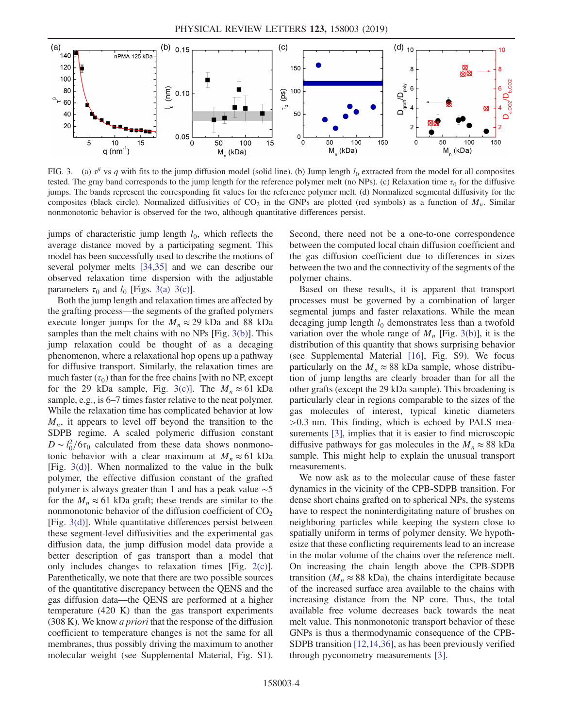<span id="page-3-0"></span>

FIG. 3. (a)  $\tau^{\beta}$  vs q with fits to the jump diffusion model (solid line). (b) Jump length  $l_0$  extracted from the model for all composites tested. The gray band corresponds to the jump length for the reference polymer melt (no NPs). (c) Relaxation time  $\tau_0$  for the diffusive jumps. The bands represent the corresponding fit values for the reference polymer melt. (d) Normalized segmental diffusivity for the composites (black circle). Normalized diffusivities of  $CO_2$  in the GNPs are plotted (red symbols) as a function of  $M_n$ . Similar nonmonotonic behavior is observed for the two, although quantitative differences persist.

jumps of characteristic jump length  $l_0$ , which reflects the average distance moved by a participating segment. This model has been successfully used to describe the motions of several polymer melts [\[34,35\]](#page-5-0) and we can describe our observed relaxation time dispersion with the adjustable parameters  $\tau_0$  and  $l_0$  [Figs. [3\(a\)](#page-3-0)–3(c)].

Both the jump length and relaxation times are affected by the grafting process—the segments of the grafted polymers execute longer jumps for the  $M_n \approx 29$  kDa and 88 kDa samples than the melt chains with no NPs [Fig. [3\(b\)\]](#page-3-0). This jump relaxation could be thought of as a decaging phenomenon, where a relaxational hop opens up a pathway for diffusive transport. Similarly, the relaxation times are much faster  $(\tau_0)$  than for the free chains [with no NP, except for the 29 kDa sample, Fig. [3\(c\)\]](#page-3-0). The  $M_n \approx 61$  kDa sample, e.g., is 6–7 times faster relative to the neat polymer. While the relaxation time has complicated behavior at low  $M_n$ , it appears to level off beyond the transition to the SDPB regime. A scaled polymeric diffusion constant  $D \sim l_0^2/6\tau_0$  calculated from these data shows nonmono-<br>tonic behavior with a clear maximum at  $M \approx 61$  kDa tonic behavior with a clear maximum at  $M_n \approx 61$  kDa [Fig. [3\(d\)\]](#page-3-0). When normalized to the value in the bulk polymer, the effective diffusion constant of the grafted polymer is always greater than 1 and has a peak value ∼5 for the  $M_n \approx 61$  kDa graft; these trends are similar to the nonmonotonic behavior of the diffusion coefficient of  $CO<sub>2</sub>$ [Fig. [3\(d\)\]](#page-3-0). While quantitative differences persist between these segment-level diffusivities and the experimental gas diffusion data, the jump diffusion model data provide a better description of gas transport than a model that only includes changes to relaxation times [Fig. [2\(c\)](#page-2-0)]. Parenthetically, we note that there are two possible sources of the quantitative discrepancy between the QENS and the gas diffusion data—the QENS are performed at a higher temperature (420 K) than the gas transport experiments  $(308 K)$ . We know *a priori* that the response of the diffusion coefficient to temperature changes is not the same for all membranes, thus possibly driving the maximum to another molecular weight (see Supplemental Material, Fig. S1). Second, there need not be a one-to-one correspondence between the computed local chain diffusion coefficient and the gas diffusion coefficient due to differences in sizes between the two and the connectivity of the segments of the polymer chains.

Based on these results, it is apparent that transport processes must be governed by a combination of larger segmental jumps and faster relaxations. While the mean decaging jump length  $l_0$  demonstrates less than a twofold variation over the whole range of  $M_n$  [Fig. [3\(b\)](#page-3-0)], it is the distribution of this quantity that shows surprising behavior (see Supplemental Material [\[16\],](#page-4-14) Fig. S9). We focus particularly on the  $M_n \approx 88$  kDa sample, whose distribution of jump lengths are clearly broader than for all the other grafts (except the 29 kDa sample). This broadening is particularly clear in regions comparable to the sizes of the gas molecules of interest, typical kinetic diameters >0.<sup>3</sup> nm. This finding, which is echoed by PALS mea-surements [\[3\]](#page-4-3), implies that it is easier to find microscopic diffusive pathways for gas molecules in the  $M_n \approx 88$  kDa sample. This might help to explain the unusual transport measurements.

We now ask as to the molecular cause of these faster dynamics in the vicinity of the CPB-SDPB transition. For dense short chains grafted on to spherical NPs, the systems have to respect the noninterdigitating nature of brushes on neighboring particles while keeping the system close to spatially uniform in terms of polymer density. We hypothesize that these conflicting requirements lead to an increase in the molar volume of the chains over the reference melt. On increasing the chain length above the CPB-SDPB transition ( $M_n \approx 88$  kDa), the chains interdigitate because of the increased surface area available to the chains with increasing distance from the NP core. Thus, the total available free volume decreases back towards the neat melt value. This nonmonotonic transport behavior of these GNPs is thus a thermodynamic consequence of the CPB-SDPB transition [\[12,14,36\]](#page-4-10), as has been previously verified through pyconometry measurements [\[3\].](#page-4-3)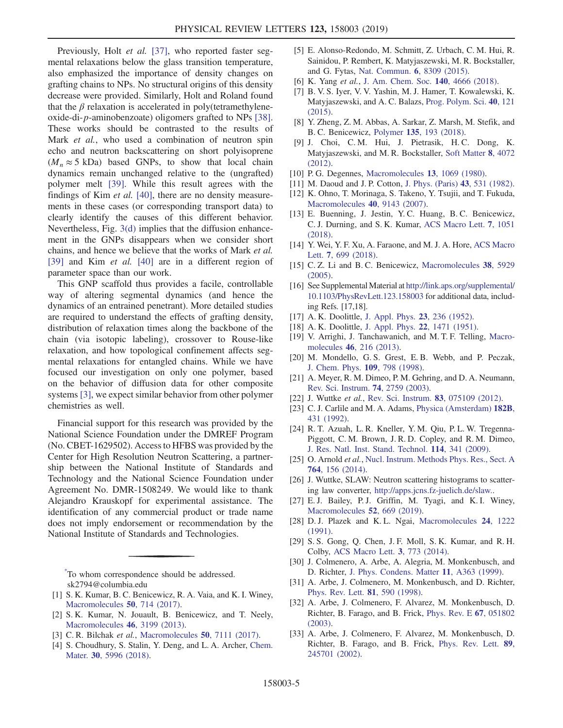Previously, Holt et al. [\[37\]](#page-5-1), who reported faster segmental relaxations below the glass transition temperature, also emphasized the importance of density changes on grafting chains to NPs. No structural origins of this density decrease were provided. Similarly, Holt and Roland found that the  $\beta$  relaxation is accelerated in poly(tetramethyleneoxide-di-p-aminobenzoate) oligomers grafted to NPs [\[38\]](#page-5-2). These works should be contrasted to the results of Mark et al., who used a combination of neutron spin echo and neutron backscattering on short polyisoprene  $(M_n \approx 5 \text{ kDa})$  based GNPs, to show that local chain dynamics remain unchanged relative to the (ungrafted) polymer melt [\[39\]](#page-5-3). While this result agrees with the findings of Kim *et al.* [\[40\],](#page-5-4) there are no density measurements in these cases (or corresponding transport data) to clearly identify the causes of this different behavior. Nevertheless, Fig. [3\(d\)](#page-3-0) implies that the diffusion enhancement in the GNPs disappears when we consider short chains, and hence we believe that the works of Mark et al. [\[39\]](#page-5-3) and Kim *et al.* [\[40\]](#page-5-4) are in a different region of parameter space than our work.

This GNP scaffold thus provides a facile, controllable way of altering segmental dynamics (and hence the dynamics of an entrained penetrant). More detailed studies are required to understand the effects of grafting density, distribution of relaxation times along the backbone of the chain (via isotopic labeling), crossover to Rouse-like relaxation, and how topological confinement affects segmental relaxations for entangled chains. While we have focused our investigation on only one polymer, based on the behavior of diffusion data for other composite systems [\[3\]](#page-4-3), we expect similar behavior from other polymer chemistries as well.

Financial support for this research was provided by the National Science Foundation under the DMREF Program (No. CBET-1629502). Access to HFBS was provided by the Center for High Resolution Neutron Scattering, a partnership between the National Institute of Standards and Technology and the National Science Foundation under Agreement No. DMR-1508249. We would like to thank Alejandro Krauskopf for experimental assistance. The identification of any commercial product or trade name does not imply endorsement or recommendation by the National Institute of Standards and Technologies.

<span id="page-4-0"></span>[\\*](#page-0-0) To whom correspondence should be addressed. sk2794@columbia.edu

- <span id="page-4-2"></span><span id="page-4-1"></span>[1] S. K. Kumar, B. C. Benicewicz, R. A. Vaia, and K. I. Winey, [Macromolecules](https://doi.org/10.1021/acs.macromol.6b02330) 50, 714 (2017).
- <span id="page-4-3"></span>[2] S. K. Kumar, N. Jouault, B. Benicewicz, and T. Neely, [Macromolecules](https://doi.org/10.1021/ma4001385) 46, 3199 (2013).
- <span id="page-4-4"></span>[3] C. R. Bilchak et al., [Macromolecules](https://doi.org/10.1021/acs.macromol.7b01428) **50**, 7111 (2017).
- [4] S. Choudhury, S. Stalin, Y. Deng, and L. A. Archer, [Chem.](https://doi.org/10.1021/acs.chemmater.8b02227) Mater. 30[, 5996 \(2018\)](https://doi.org/10.1021/acs.chemmater.8b02227).
- <span id="page-4-5"></span>[5] E. Alonso-Redondo, M. Schmitt, Z. Urbach, C. M. Hui, R. Sainidou, P. Rembert, K. Matyjaszewski, M. R. Bockstaller, and G. Fytas, [Nat. Commun.](https://doi.org/10.1038/ncomms9309) 6, 8309 (2015).
- <span id="page-4-6"></span>[6] K. Yang et al., [J. Am. Chem. Soc.](https://doi.org/10.1021/jacs.8b00884) 140, 4666 (2018).
- <span id="page-4-7"></span>[7] B. V. S. Iyer, V. V. Yashin, M. J. Hamer, T. Kowalewski, K. Matyjaszewski, and A. C. Balazs, [Prog. Polym. Sci.](https://doi.org/10.1016/j.progpolymsci.2014.07.004) 40, 121 [\(2015\).](https://doi.org/10.1016/j.progpolymsci.2014.07.004)
- <span id="page-4-8"></span>[8] Y. Zheng, Z. M. Abbas, A. Sarkar, Z. Marsh, M. Stefik, and B. C. Benicewicz, Polymer 135[, 193 \(2018\).](https://doi.org/10.1016/j.polymer.2017.12.028)
- [9] J. Choi, C. M. Hui, J. Pietrasik, H. C. Dong, K. Matyjaszewski, and M. R. Bockstaller, [Soft Matter](https://doi.org/10.1039/c2sm06915f) 8, 4072 [\(2012\).](https://doi.org/10.1039/c2sm06915f)
- <span id="page-4-9"></span>[10] P. G. Degennes, [Macromolecules](https://doi.org/10.1021/ma60077a009) 13, 1069 (1980).
- <span id="page-4-10"></span>[11] M. Daoud and J. P. Cotton, [J. Phys. \(Paris\)](https://doi.org/10.1051/jphys:01982004303053100) 43, 531 (1982).
- [12] K. Ohno, T. Morinaga, S. Takeno, Y. Tsujii, and T. Fukuda, [Macromolecules](https://doi.org/10.1021/ma071770z) 40, 9143 (2007).
- <span id="page-4-11"></span>[13] E. Buenning, J. Jestin, Y. C. Huang, B. C. Benicewicz, C. J. Durning, and S. K. Kumar, [ACS Macro Lett.](https://doi.org/10.1021/acsmacrolett.8b00472) 7, 1051 [\(2018\).](https://doi.org/10.1021/acsmacrolett.8b00472)
- <span id="page-4-12"></span>[14] Y. Wei, Y. F. Xu, A. Faraone, and M. J. A. Hore, [ACS Macro](https://doi.org/10.1021/acsmacrolett.8b00223) Lett. 7[, 699 \(2018\).](https://doi.org/10.1021/acsmacrolett.8b00223)
- <span id="page-4-13"></span>[15] C. Z. Li and B. C. Benicewicz, [Macromolecules](https://doi.org/10.1021/ma050216r) 38, 5929 [\(2005\).](https://doi.org/10.1021/ma050216r)
- <span id="page-4-14"></span>[16] See Supplemental Material at [http://link.aps.org/supplemental/](http://link.aps.org/supplemental/10.1103/PhysRevLett.123.158003) [10.1103/PhysRevLett.123.158003](http://link.aps.org/supplemental/10.1103/PhysRevLett.123.158003) for additional data, including Refs. [17,18].
- [17] A. K. Doolittle, [J. Appl. Phys.](https://doi.org/10.1063/1.1702182) **23**, 236 (1952).
- <span id="page-4-15"></span>[18] A. K. Doolittle, [J. Appl. Phys.](https://doi.org/10.1063/1.1699894) 22, 1471 (1951).
- [19] V. Arrighi, J. Tanchawanich, and M. T. F. Telling, [Macro](https://doi.org/10.1021/ma301922j)molecules 46[, 216 \(2013\)](https://doi.org/10.1021/ma301922j).
- [20] M. Mondello, G. S. Grest, E. B. Webb, and P. Peczak, [J. Chem. Phys.](https://doi.org/10.1063/1.476619) 109, 798 (1998).
- <span id="page-4-16"></span>[21] A. Meyer, R. M. Dimeo, P. M. Gehring, and D. A. Neumann, [Rev. Sci. Instrum.](https://doi.org/10.1063/1.1568557) 74, 2759 (2003).
- <span id="page-4-18"></span><span id="page-4-17"></span>[22] J. Wuttke et al., [Rev. Sci. Instrum.](https://doi.org/10.1063/1.4732806) 83, 075109 (2012).
- [23] C. J. Carlile and M. A. Adams, [Physica \(Amsterdam\)](https://doi.org/10.1016/0921-4526(92)90047-V) 182B, [431 \(1992\)](https://doi.org/10.1016/0921-4526(92)90047-V).
- <span id="page-4-19"></span>[24] R. T. Azuah, L. R. Kneller, Y. M. Qiu, P. L. W. Tregenna-Piggott, C. M. Brown, J. R. D. Copley, and R. M. Dimeo, [J. Res. Natl. Inst. Stand. Technol.](https://doi.org/10.6028/jres.114.025) 114, 341 (2009).
- <span id="page-4-20"></span>[25] O. Arnold et al., [Nucl. Instrum. Methods Phys. Res., Sect. A](https://doi.org/10.1016/j.nima.2014.07.029) 764[, 156 \(2014\)](https://doi.org/10.1016/j.nima.2014.07.029).
- <span id="page-4-21"></span>[26] J. Wuttke, SLAW: Neutron scattering histograms to scattering law converter, [http://apps.jcns.fz-juelich.de/slaw..](http://apps.jcns.fz-juelich.de/slaw.)
- <span id="page-4-22"></span>[27] E.J. Bailey, P.J. Griffin, M. Tyagi, and K.I. Winey, [Macromolecules](https://doi.org/10.1021/acs.macromol.8b01716) 52, 669 (2019).
- <span id="page-4-23"></span>[28] D. J. Plazek and K. L. Ngai, [Macromolecules](https://doi.org/10.1021/ma00005a044) 24, 1222 [\(1991\).](https://doi.org/10.1021/ma00005a044)
- <span id="page-4-24"></span>[29] S. S. Gong, Q. Chen, J. F. Moll, S. K. Kumar, and R. H. Colby, [ACS Macro Lett.](https://doi.org/10.1021/mz500252f) 3, 773 (2014).
- <span id="page-4-25"></span>[30] J. Colmenero, A. Arbe, A. Alegria, M. Monkenbusch, and D. Richter, [J. Phys. Condens. Matter](https://doi.org/10.1088/0953-8984/11/10A/033) 11, A363 (1999).
- [31] A. Arbe, J. Colmenero, M. Monkenbusch, and D. Richter, [Phys. Rev. Lett.](https://doi.org/10.1103/PhysRevLett.81.590) 81, 590 (1998).
- <span id="page-4-26"></span>[32] A. Arbe, J. Colmenero, F. Alvarez, M. Monkenbusch, D. Richter, B. Farago, and B. Frick, [Phys. Rev. E](https://doi.org/10.1103/PhysRevE.67.051802) 67, 051802 [\(2003\).](https://doi.org/10.1103/PhysRevE.67.051802)
- [33] A. Arbe, J. Colmenero, F. Alvarez, M. Monkenbusch, D. Richter, B. Farago, and B. Frick, [Phys. Rev. Lett.](https://doi.org/10.1103/PhysRevLett.89.245701) 89, [245701 \(2002\).](https://doi.org/10.1103/PhysRevLett.89.245701)